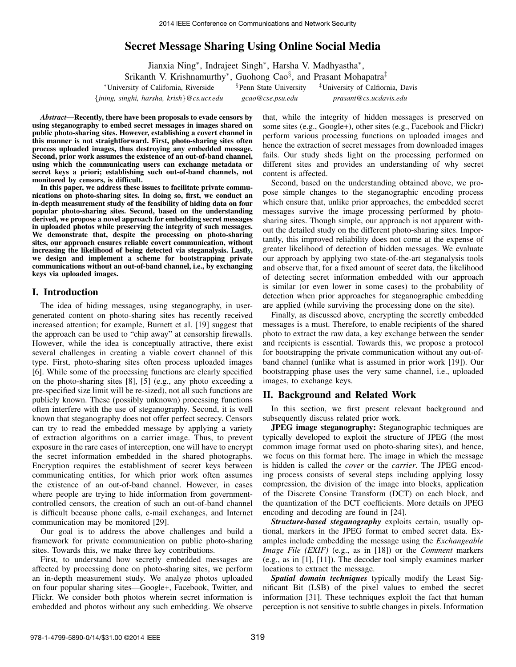# Secret Message Sharing Using Online Social Media

Jianxia Ning<sup>\*</sup>, Indrajeet Singh<sup>\*</sup>, Harsha V. Madhyastha<sup>\*</sup>, Srikanth V. Krishnamurthy<sup>∗</sup>, Guohong Cao<sup>§</sup>, and Prasant Mohapatra<sup>‡</sup> <sup>∗</sup>University of California, Riverside § <sup>‡</sup>University of Calfiornia, Davis {*jning, singhi, harsha, krish*}*@cs.ucr.edu gcao@cse.psu.edu prasant@cs.ucdavis.edu*

*Abstract*—Recently, there have been proposals to evade censors by using steganography to embed secret messages in images shared on public photo-sharing sites. However, establishing a covert channel in this manner is not straightforward. First, photo-sharing sites often process uploaded images, thus destroying any embedded message. Second, prior work assumes the existence of an out-of-band channel, using which the communicating users can exchange metadata or secret keys a priori; establishing such out-of-band channels, not monitored by censors, is difficult.

In this paper, we address these issues to facilitate private communications on photo-sharing sites. In doing so, first, we conduct an in-depth measurement study of the feasibility of hiding data on four popular photo-sharing sites. Second, based on the understanding derived, we propose a novel approach for embedding secret messages in uploaded photos while preserving the integrity of such messages. We demonstrate that, despite the processing on photo-sharing sites, our approach ensures reliable covert communication, without increasing the likelihood of being detected via steganalysis. Lastly, we design and implement a scheme for bootstrapping private communications without an out-of-band channel, i.e., by exchanging keys via uploaded images.

# I. Introduction

The idea of hiding messages, using steganography, in usergenerated content on photo-sharing sites has recently received increased attention; for example, Burnett et al. [19] suggest that the approach can be used to "chip away" at censorship firewalls. However, while the idea is conceptually attractive, there exist several challenges in creating a viable covert channel of this type. First, photo-sharing sites often process uploaded images [6]. While some of the processing functions are clearly specified on the photo-sharing sites [8], [5] (e.g., any photo exceeding a pre-specified size limit will be re-sized), not all such functions are publicly known. These (possibly unknown) processing functions often interfere with the use of steganography. Second, it is well known that steganography does not offer perfect secrecy. Censors can try to read the embedded message by applying a variety of extraction algorithms on a carrier image. Thus, to prevent exposure in the rare cases of interception, one will have to encrypt the secret information embedded in the shared photographs. Encryption requires the establishment of secret keys between communicating entities, for which prior work often assumes the existence of an out-of-band channel. However, in cases where people are trying to hide information from governmentcontrolled censors, the creation of such an out-of-band channel is difficult because phone calls, e-mail exchanges, and Internet communication may be monitored [29].

Our goal is to address the above challenges and build a framework for private communication on public photo-sharing sites. Towards this, we make three key contributions.

First, to understand how secretly embedded messages are affected by processing done on photo-sharing sites, we perform an in-depth measurement study. We analyze photos uploaded on four popular sharing sites—Google+, Facebook, Twitter, and Flickr. We consider both photos wherein secret information is embedded and photos without any such embedding. We observe

that, while the integrity of hidden messages is preserved on some sites (e.g., Google+), other sites (e.g., Facebook and Flickr) perform various processing functions on uploaded images and hence the extraction of secret messages from downloaded images fails. Our study sheds light on the processing performed on different sites and provides an understanding of why secret content is affected.

Second, based on the understanding obtained above, we propose simple changes to the steganographic encoding process which ensure that, unlike prior approaches, the embedded secret messages survive the image processing performed by photosharing sites. Though simple, our approach is not apparent without the detailed study on the different photo-sharing sites. Importantly, this improved reliability does not come at the expense of greater likelihood of detection of hidden messages. We evaluate our approach by applying two state-of-the-art steganalysis tools and observe that, for a fixed amount of secret data, the likelihood of detecting secret information embedded with our approach is similar (or even lower in some cases) to the probability of detection when prior approaches for steganographic embedding are applied (while surviving the processing done on the site).

Finally, as discussed above, encrypting the secretly embedded messages is a must. Therefore, to enable recipients of the shared photo to extract the raw data, a key exchange between the sender and recipients is essential. Towards this, we propose a protocol for bootstrapping the private communication without any out-ofband channel (unlike what is assumed in prior work [19]). Our bootstrapping phase uses the very same channel, i.e., uploaded images, to exchange keys.

# II. Background and Related Work

In this section, we first present relevant background and subsequently discuss related prior work.

JPEG image steganography: Steganographic techniques are typically developed to exploit the structure of JPEG (the most common image format used on photo-sharing sites), and hence, we focus on this format here. The image in which the message is hidden is called the *cover* or the *carrier*. The JPEG encoding process consists of several steps including applying lossy compression, the division of the image into blocks, application of the Discrete Consine Transform (DCT) on each block, and the quantization of the DCT coefficients. More details on JPEG encoding and decoding are found in [24].

*Structure-based steganography* exploits certain, usually optional, markers in the JPEG format to embed secret data. Examples include embedding the message using the *Exchangeable Image File (EXIF)* (e.g., as in [18]) or the *Comment* markers (e.g., as in [1], [11]). The decoder tool simply examines marker locations to extract the message.

*Spatial domain techniques* typically modify the Least Significant Bit (LSB) of the pixel values to embed the secret information [31]. These techniques exploit the fact that human perception is not sensitive to subtle changes in pixels. Information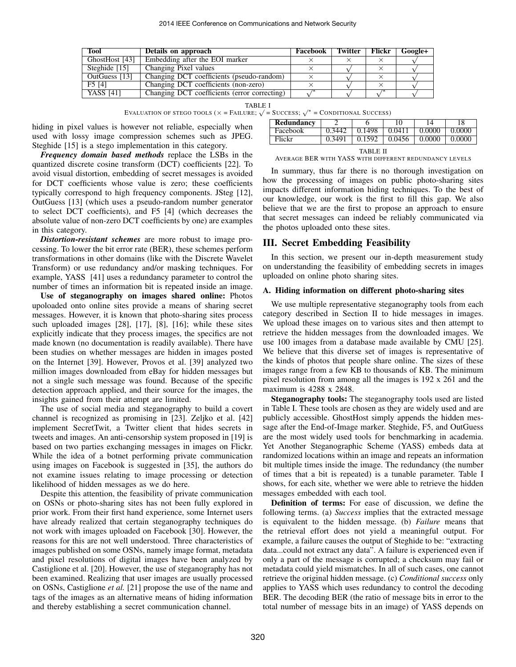| <b>Tool</b>               | Details on approach                          | <b>Facebook</b> | Twitter Flickr | Google+ |
|---------------------------|----------------------------------------------|-----------------|----------------|---------|
| GhostHost [43]            | Embedding after the EOI marker               |                 |                |         |
| Steghide [15]             | Changing Pixel values                        |                 |                |         |
| OutGuess $\overline{131}$ | Changing DCT coefficients (pseudo-random)    |                 |                |         |
| F5 [4]                    | Changing DCT coefficients (non-zero)         |                 |                |         |
| <b>YASS</b> [41]          | Changing DCT coefficients (error correcting) |                 |                |         |

# TABLE I √

EVALUATION OF STEGO TOOLS (× = FAILURE; = SUCCESS; <sup>√</sup><sup>∗</sup> = CONDITIONAL <sup>S</sup>UCCESS)

hiding in pixel values is however not reliable, especially when used with lossy image compression schemes such as JPEG. Steghide [15] is a stego implementation in this category.

| Redundancy                                   |  |        |       |        |  |  |  |
|----------------------------------------------|--|--------|-------|--------|--|--|--|
| Facebook                                     |  | 0.1498 | 0.041 | 0.0000 |  |  |  |
| Flickr<br>0.1592<br>0.0456<br>349.<br>0.0000 |  |        |       |        |  |  |  |
| <b>TABLE II</b>                              |  |        |       |        |  |  |  |

AVERAGE BER WITH YASS WITH DIFFERENT REDUNDANCY LEVELS

*Frequency domain based methods* replace the LSBs in the quantized discrete cosine transform (DCT) coefficients [22]. To avoid visual distortion, embedding of secret messages is avoided for DCT coefficients whose value is zero; these coefficients typically correspond to high frequency components. JSteg [12], OutGuess [13] (which uses a pseudo-random number generator to select DCT coefficients), and F5 [4] (which decreases the absolute value of non-zero DCT coefficients by one) are examples in this category.

*Distortion-resistant schemes* are more robust to image processing. To lower the bit error rate (BER), these schemes perform transformations in other domains (like with the Discrete Wavelet Transform) or use redundancy and/or masking techniques. For example, YASS [41] uses a redundancy parameter to control the number of times an information bit is repeated inside an image.

Use of steganography on images shared online: Photos upoloaded onto online sites provide a means of sharing secret messages. However, it is known that photo-sharing sites process such uploaded images [28], [17], [8], [16]; while these sites explicitly indicate that they process images, the specifics are not made known (no documentation is readily available). There have been studies on whether messages are hidden in images posted on the Internet [39]. However, Provos et al. [39] analyzed two million images downloaded from eBay for hidden messages but not a single such message was found. Because of the specific detection approach applied, and their source for the images, the insights gained from their attempt are limited.

The use of social media and steganography to build a covert channel is recognized as promising in [23]. Zeljko et al. [42] implement SecretTwit, a Twitter client that hides secrets in tweets and images. An anti-censorship system proposed in [19] is based on two parties exchanging messages in images on Flickr. While the idea of a botnet performing private communication using images on Facebook is suggested in [35], the authors do not examine issues relating to image processing or detection likelihood of hidden messages as we do here.

Despite this attention, the feasibility of private communication on OSNs or photo-sharing sites has not been fully explored in prior work. From their first hand experience, some Internet users have already realized that certain steganography techniques do not work with images uploaded on Facebook [30]. However, the reasons for this are not well understood. Three characteristics of images published on some OSNs, namely image format, metadata and pixel resolutions of digital images have been analyzed by Castiglione et al. [20]. However, the use of steganography has not been examined. Realizing that user images are usually processed on OSNs, Castiglione *et al.* [21] propose the use of the name and tags of the images as an alternative means of hiding information and thereby establishing a secret communication channel.

In summary, thus far there is no thorough investigation on how the processing of images on public photo-sharing sites impacts different information hiding techniques. To the best of our knowledge, our work is the first to fill this gap. We also believe that we are the first to propose an approach to ensure that secret messages can indeed be reliably communicated via the photos uploaded onto these sites.

# III. Secret Embedding Feasibility

In this section, we present our in-depth measurement study on understanding the feasibility of embedding secrets in images uploaded on online photo sharing sites.

#### A. Hiding information on different photo-sharing sites

We use multiple representative steganography tools from each category described in Section II to hide messages in images. We upload these images on to various sites and then attempt to retrieve the hidden messages from the downloaded images. We use 100 images from a database made available by CMU [25]. We believe that this diverse set of images is representative of the kinds of photos that people share online. The sizes of these images range from a few KB to thousands of KB. The minimum pixel resolution from among all the images is 192 x 261 and the maximum is 4288 x 2848.

Steganography tools: The steganography tools used are listed in Table I. These tools are chosen as they are widely used and are publicly accessible. GhostHost simply appends the hidden message after the End-of-Image marker. Steghide, F5, and OutGuess are the most widely used tools for benchmarking in academia. Yet Another Steganographic Scheme (YASS) embeds data at randomized locations within an image and repeats an information bit multiple times inside the image. The redundancy (the number of times that a bit is repeated) is a tunable parameter. Table I shows, for each site, whether we were able to retrieve the hidden messages embedded with each tool.

Definition of terms: For ease of discussion, we define the following terms. (a) *Success* implies that the extracted message is equivalent to the hidden message. (b) *Failure* means that the retrieval effort does not yield a meaningful output. For example, a failure causes the output of Steghide to be: "extracting data...could not extract any data". A failure is experienced even if only a part of the message is corrupted; a checksum may fail or metadata could yield mismatches. In all of such cases, one cannot retrieve the original hidden message. (c) *Conditional success* only applies to YASS which uses redundancy to control the decoding BER. The decoding BER (the ratio of message bits in error to the total number of message bits in an image) of YASS depends on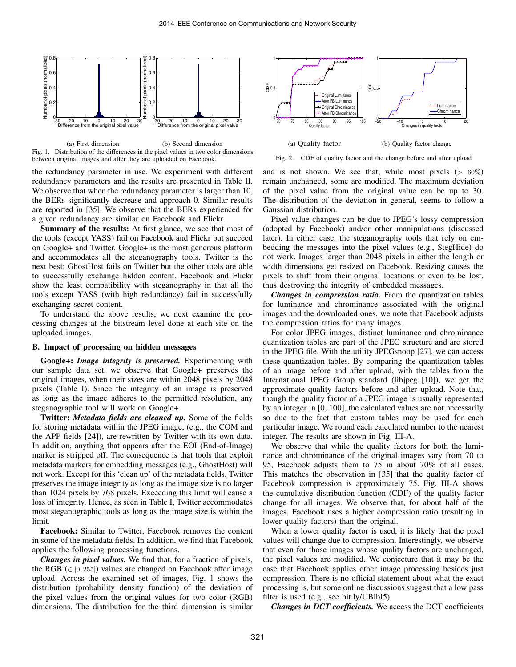

Fig. 1. Distribution of the differences in the pixel values in two color dimensions between original images and after they are uploaded on Facebook.

the redundancy parameter in use. We experiment with different redundancy parameters and the results are presented in Table II. We observe that when the redundancy parameter is larger than 10, the BERs significantly decrease and approach 0. Similar results are reported in [35]. We observe that the BERs experienced for a given redundancy are similar on Facebook and Flickr.

Summary of the results: At first glance, we see that most of the tools (except YASS) fail on Facebook and Flickr but succeed on Google+ and Twitter. Google+ is the most generous platform and accommodates all the steganography tools. Twitter is the next best; GhostHost fails on Twitter but the other tools are able to successfully exchange hidden content. Facebook and Flickr show the least compatibility with steganography in that all the tools except YASS (with high redundancy) fail in successfully exchanging secret content.

To understand the above results, we next examine the processing changes at the bitstream level done at each site on the uploaded images.

### B. Impact of processing on hidden messages

Google+: *Image integrity is preserved.* Experimenting with our sample data set, we observe that Google+ preserves the original images, when their sizes are within 2048 pixels by 2048 pixels (Table I). Since the integrity of an image is preserved as long as the image adheres to the permitted resolution, any steganographic tool will work on Google+.

Twitter: *Metadata fields are cleaned up.* Some of the fields for storing metadata within the JPEG image, (e.g., the COM and the APP fields [24]), are rewritten by Twitter with its own data. In addition, anything that appears after the EOI (End-of-Image) marker is stripped off. The consequence is that tools that exploit metadata markers for embedding messages (e.g., GhostHost) will not work. Except for this 'clean up' of the metadata fields, Twitter preserves the image integrity as long as the image size is no larger than 1024 pixels by 768 pixels. Exceeding this limit will cause a loss of integrity. Hence, as seen in Table I, Twitter accommodates most steganographic tools as long as the image size is within the limit.

Facebook: Similar to Twitter, Facebook removes the content in some of the metadata fields. In addition, we find that Facebook applies the following processing functions.

*Changes in pixel values.* We find that, for a fraction of pixels, the RGB ( $\in$  [0, 255]) values are changed on Facebook after image upload. Across the examined set of images, Fig. 1 shows the distribution (probability density function) of the deviation of the pixel values from the original values for two color (RGB) dimensions. The distribution for the third dimension is similar



Fig. 2. CDF of quality factor and the change before and after upload

and is not shown. We see that, while most pixels  $(> 60\%)$ remain unchanged, some are modified. The maximum deviation of the pixel value from the original value can be up to 30. The distribution of the deviation in general, seems to follow a Gaussian distribution.

Pixel value changes can be due to JPEG's lossy compression (adopted by Facebook) and/or other manipulations (discussed later). In either case, the steganography tools that rely on embedding the messages into the pixel values (e.g., StegHide) do not work. Images larger than 2048 pixels in either the length or width dimensions get resized on Facebook. Resizing causes the pixels to shift from their original locations or even to be lost, thus destroying the integrity of embedded messages.

*Changes in compression ratio.* From the quantization tables for luminance and chrominance associated with the original images and the downloaded ones, we note that Facebook adjusts the compression ratios for many images.

For color JPEG images, distinct luminance and chrominance quantization tables are part of the JPEG structure and are stored in the JPEG file. With the utility JPEGsnoop [27], we can access these quantization tables. By comparing the quantization tables of an image before and after upload, with the tables from the International JPEG Group standard (libjpeg [10]), we get the approximate quality factors before and after upload. Note that, though the quality factor of a JPEG image is usually represented by an integer in [0, 100], the calculated values are not necessarily so due to the fact that custom tables may be used for each particular image. We round each calculated number to the nearest integer. The results are shown in Fig. III-A.

We observe that while the quality factors for both the luminance and chrominance of the original images vary from 70 to 95, Facebook adjusts them to 75 in about 70% of all cases. This matches the observation in [35] that the quality factor of Facebook compression is approximately 75. Fig. III-A shows the cumulative distribution function (CDF) of the quality factor change for all images. We observe that, for about half of the images, Facebook uses a higher compression ratio (resulting in lower quality factors) than the original.

When a lower quality factor is used, it is likely that the pixel values will change due to compression. Interestingly, we observe that even for those images whose quality factors are unchanged, the pixel values are modified. We conjecture that it may be the case that Facebook applies other image processing besides just compression. There is no official statement about what the exact processing is, but some online discussions suggest that a low pass filter is used (e.g., see bit.ly/UBlbI5).

*Changes in DCT coefficients.* We access the DCT coefficients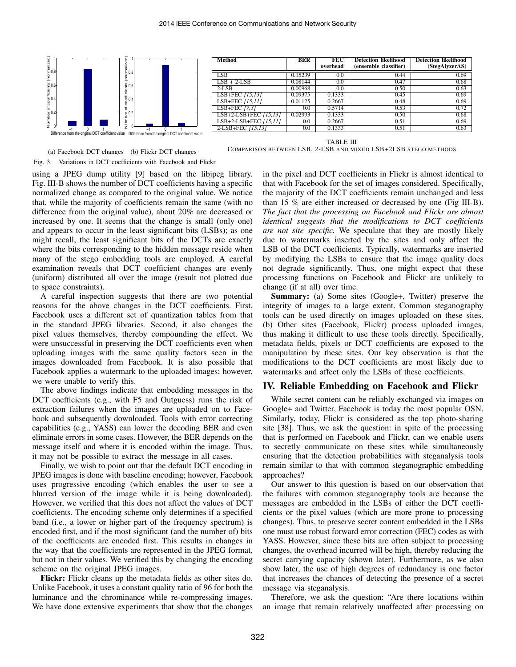

| Method                | <b>BER</b> | FEC      | <b>Detection likelihood</b> | <b>Detection likelihood</b> |
|-----------------------|------------|----------|-----------------------------|-----------------------------|
|                       |            | overhead | (ensemble classifier)       | (StegAlyzerAS)              |
| <b>LSB</b>            | 0.15239    | 0.0      | 0.44                        | 0.69                        |
| $LSB + 2-LSB$         | 0.08144    | 0.0      | 0.47                        | 0.68                        |
| $2$ -LSB              | 0.00968    | 0.0      | 0.50                        | 0.63                        |
| LSB+FEC [15,13]       | 0.09375    | 0.1333   | 0.45                        | 0.69                        |
| LSB+FEC [15,11]       | 0.01125    | 0.2667   | 0.48                        | 0.69                        |
| $LSB + FEC$ [7,3]     | 0.0        | 0.5714   | 0.53                        | 0.72                        |
| LSB+2-LSB+FEC [15,13] | 0.02993    | 0.1333   | 0.50                        | 0.68                        |
| LSB+2-LSB+FEC [15,11] | 0.0        | 0.2667   | 0.51                        | 0.69                        |
| 2-LSB+FEC [15,13]     | 0.0        | 0.1333   | 0.51                        | 0.63                        |
|                       |            |          |                             |                             |

TABLE III

COMPARISON BETWEEN LSB, 2-LSB AND MIXED LSB+2LSB STEGO METHODS

(a) Facebook DCT changes (b) Flickr DCT changes Fig. 3. Variations in DCT coefficients with Facebook and Flickr

using a JPEG dump utility [9] based on the libjpeg library. Fig. III-B shows the number of DCT coefficients having a specific normalized change as compared to the original value. We notice that, while the majority of coefficients remain the same (with no difference from the original value), about 20% are decreased or increased by one. It seems that the change is small (only one) and appears to occur in the least significant bits (LSBs); as one might recall, the least significant bits of the DCTs are exactly where the bits corresponding to the hidden message reside when many of the stego embedding tools are employed. A careful examination reveals that DCT coefficient changes are evenly (uniform) distributed all over the image (result not plotted due to space constraints).

A careful inspection suggests that there are two potential reasons for the above changes in the DCT coefficients. First, Facebook uses a different set of quantization tables from that in the standard JPEG libraries. Second, it also changes the pixel values themselves, thereby compounding the effect. We were unsuccessful in preserving the DCT coefficients even when uploading images with the same quality factors seen in the images downloaded from Facebook. It is also possible that Facebook applies a watermark to the uploaded images; however, we were unable to verify this.

The above findings indicate that embedding messages in the DCT coefficients (e.g., with F5 and Outguess) runs the risk of extraction failures when the images are uploaded on to Facebook and subsequently downloaded. Tools with error correcting capabilities (e.g., YASS) can lower the decoding BER and even eliminate errors in some cases. However, the BER depends on the message itself and where it is encoded within the image. Thus, it may not be possible to extract the message in all cases.

Finally, we wish to point out that the default DCT encoding in JPEG images is done with baseline encoding; however, Facebook uses progressive encoding (which enables the user to see a blurred version of the image while it is being downloaded). However, we verified that this does not affect the values of DCT coefficients. The encoding scheme only determines if a specified band (i.e., a lower or higher part of the frequency spectrum) is encoded first, and if the most significant (and the number of) bits of the coefficients are encoded first. This results in changes in the way that the coefficients are represented in the JPEG format, but not in their values. We verified this by changing the encoding scheme on the original JPEG images.

Flickr: Flickr cleans up the metadata fields as other sites do. Unlike Facebook, it uses a constant quality ratio of 96 for both the luminance and the chrominance while re-compressing images. We have done extensive experiments that show that the changes in the pixel and DCT coefficients in Flickr is almost identical to that with Facebook for the set of images considered. Specifically, the majority of the DCT coefficients remain unchanged and less than 15 % are either increased or decreased by one (Fig III-B). *The fact that the processing on Facebook and Flickr are almost identical suggests that the modifications to DCT coefficients are not site specific.* We speculate that they are mostly likely due to watermarks inserted by the sites and only affect the LSB of the DCT coefficients. Typically, watermarks are inserted by modifying the LSBs to ensure that the image quality does not degrade significantly. Thus, one might expect that these processing functions on Facebook and Flickr are unlikely to change (if at all) over time.

Summary: (a) Some sites (Google+, Twitter) preserve the integrity of images to a large extent. Common steganography tools can be used directly on images uploaded on these sites. (b) Other sites (Facebook, Flickr) process uploaded images, thus making it difficult to use these tools directly. Specifically, metadata fields, pixels or DCT coefficients are exposed to the manipulation by these sites. Our key observation is that the modifications to the DCT coefficients are most likely due to watermarks and affect only the LSBs of these coefficients.

### IV. Reliable Embedding on Facebook and Flickr

While secret content can be reliably exchanged via images on Google+ and Twitter, Facebook is today the most popular OSN. Similarly, today, Flickr is considered as the top photo-sharing site [38]. Thus, we ask the question: in spite of the processing that is performed on Facebook and Flickr, can we enable users to secretly communicate on these sites while simultaneously ensuring that the detection probabilities with steganalysis tools remain similar to that with common steganographic embedding approaches?

Our answer to this question is based on our observation that the failures with common steganography tools are because the messages are embedded in the LSBs of either the DCT coefficients or the pixel values (which are more prone to processing changes). Thus, to preserve secret content embedded in the LSBs one must use robust forward error correction (FEC) codes as with YASS. However, since these bits are often subject to processing changes, the overhead incurred will be high, thereby reducing the secret carrying capacity (shown later). Furthermore, as we also show later, the use of high degrees of redundancy is one factor that increases the chances of detecting the presence of a secret message via steganalysis.

Therefore, we ask the question: "Are there locations within an image that remain relatively unaffected after processing on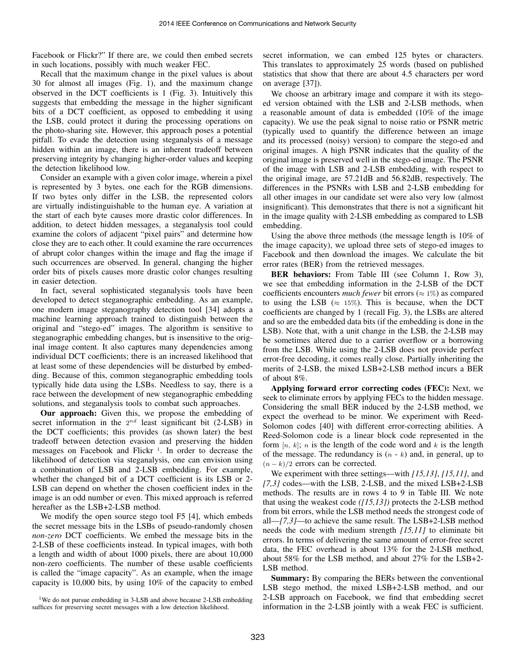Facebook or Flickr?" If there are, we could then embed secrets in such locations, possibly with much weaker FEC.

Recall that the maximum change in the pixel values is about 30 for almost all images (Fig. 1), and the maximum change observed in the DCT coefficients is 1 (Fig. 3). Intuitively this suggests that embedding the message in the higher significant bits of a DCT coefficient, as opposed to embedding it using the LSB, could protect it during the processing operations on the photo-sharing site. However, this approach poses a potential pitfall. To evade the detection using steganalysis of a message hidden within an image, there is an inherent tradeoff between preserving integrity by changing higher-order values and keeping the detection likelihood low.

Consider an example with a given color image, wherein a pixel is represented by 3 bytes, one each for the RGB dimensions. If two bytes only differ in the LSB, the represented colors are virtually indistinguishable to the human eye. A variation at the start of each byte causes more drastic color differences. In addition, to detect hidden messages, a steganalysis tool could examine the colors of adjacent "pixel pairs" and determine how close they are to each other. It could examine the rare occurrences of abrupt color changes within the image and flag the image if such occurrences are observed. In general, changing the higher order bits of pixels causes more drastic color changes resulting in easier detection.

In fact, several sophisticated steganalysis tools have been developed to detect steganographic embedding. As an example, one modern image steganography detection tool [34] adopts a machine learning approach trained to distinguish between the original and "stego-ed" images. The algorithm is sensitive to steganographic embedding changes, but is insensitive to the original image content. It also captures many dependencies among individual DCT coefficients; there is an increased likelihood that at least some of these dependencies will be disturbed by embedding. Because of this, common steganographic embedding tools typically hide data using the LSBs. Needless to say, there is a race between the development of new steganographic embedding solutions, and steganalysis tools to combat such approaches.

Our approach: Given this, we propose the embedding of secret information in the  $2^{nd}$  least significant bit (2-LSB) in the DCT coefficients; this provides (as shown later) the best tradeoff between detection evasion and preserving the hidden messages on Facebook and Flickr<sup>1</sup>. In order to decrease the likelihood of detection via steganalysis, one can envision using a combination of LSB and 2-LSB embedding. For example, whether the changed bit of a DCT coefficient is its LSB or 2- LSB can depend on whether the chosen coefficient index in the image is an odd number or even. This mixed approach is referred hereafter as the LSB+2-LSB method.

We modify the open source stego tool F5 [4], which embeds the secret message bits in the LSBs of pseudo-randomly chosen *non-zero* DCT coefficients. We embed the message bits in the 2-LSB of these coefficients instead. In typical images, with both a length and width of about 1000 pixels, there are about 10,000 non-zero coefficients. The number of these usable coefficients is called the "image capacity". As an example, when the image capacity is 10,000 bits, by using 10% of the capacity to embed secret information, we can embed 125 bytes or characters. This translates to approximately 25 words (based on published statistics that show that there are about 4.5 characters per word on average [37]).

We choose an arbitrary image and compare it with its stegoed version obtained with the LSB and 2-LSB methods, when a reasonable amount of data is embedded (10% of the image capacity). We use the peak signal to noise ratio or PSNR metric (typically used to quantify the difference between an image and its processed (noisy) version) to compare the stego-ed and original images. A high PSNR indicates that the quality of the original image is preserved well in the stego-ed image. The PSNR of the image with LSB and 2-LSB embedding, with respect to the original image, are 57.21dB and 56.82dB, respectively. The differences in the PSNRs with LSB and 2-LSB embedding for all other images in our candidate set were also very low (almost insignificant). This demonstrates that there is not a significant hit in the image quality with 2-LSB embedding as compared to LSB embedding.

Using the above three methods (the message length is 10% of the image capacity), we upload three sets of stego-ed images to Facebook and then download the images. We calculate the bit error rates (BER) from the retrieved messages.

BER behaviors: From Table III (see Column 1, Row 3), we see that embedding information in the 2-LSB of the DCT coefficients encounters *much fewer* bit errors ( $\approx 1\%$ ) as compared to using the LSB ( $\approx$  15%). This is because, when the DCT coefficients are changed by 1 (recall Fig. 3), the LSBs are altered and so are the embedded data bits (if the embedding is done in the LSB). Note that, with a unit change in the LSB, the 2-LSB may be sometimes altered due to a carrier overflow or a borrowing from the LSB. While using the 2-LSB does not provide perfect error-free decoding, it comes really close. Partially inheriting the merits of 2-LSB, the mixed LSB+2-LSB method incurs a BER of about 8%.

Applying forward error correcting codes (FEC): Next, we seek to eliminate errors by applying FECs to the hidden message. Considering the small BER induced by the 2-LSB method, we expect the overhead to be minor. We experiment with Reed-Solomon codes [40] with different error-correcting abilities. A Reed-Solomon code is a linear block code represented in the form  $[n, k]$ ; *n* is the length of the code word and *k* is the length of the message. The redundancy is  $(n - k)$  and, in general, up to  $(n - k)/2$  errors can be corrected.

We experiment with three settings—with *[15,13]*, *[15,11]*, and *[7,3]* codes—with the LSB, 2-LSB, and the mixed LSB+2-LSB methods. The results are in rows 4 to 9 in Table III. We note that using the weakest code *([15,13])* protects the 2-LSB method from bit errors, while the LSB method needs the strongest code of all—*[7,3]*—to achieve the same result. The LSB+2-LSB method needs the code with medium strength *[15,11]* to eliminate bit errors. In terms of delivering the same amount of error-free secret data, the FEC overhead is about 13% for the 2-LSB method, about 58% for the LSB method, and about 27% for the LSB+2- LSB method.

Summary: By comparing the BERs between the conventional LSB stego method, the mixed LSB+2-LSB method, and our 2-LSB approach on Facebook, we find that embedding secret information in the 2-LSB jointly with a weak FEC is sufficient.

<sup>&</sup>lt;sup>1</sup>We do not pursue embedding in 3-LSB and above because 2-LSB embedding suffices for preserving secret messages with a low detection likelihood.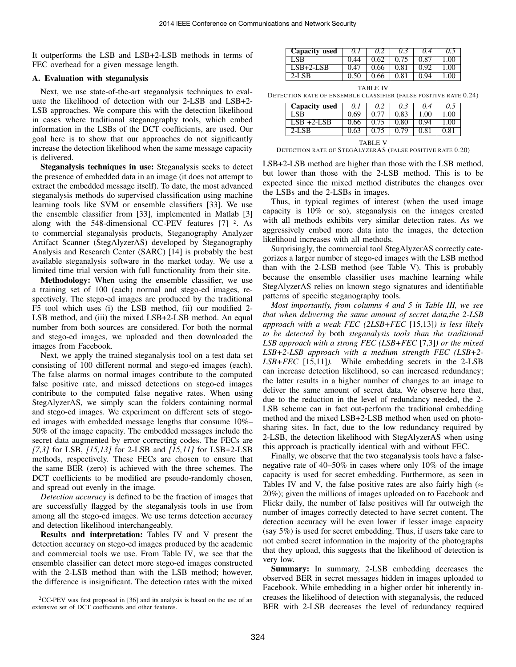It outperforms the LSB and LSB+2-LSB methods in terms of FEC overhead for a given message length.

### A. Evaluation with steganalysis

Next, we use state-of-the-art steganalysis techniques to evaluate the likelihood of detection with our 2-LSB and LSB+2- LSB approaches. We compare this with the detection likelihood in cases where traditional steganography tools, which embed information in the LSBs of the DCT coefficients, are used. Our goal here is to show that our approaches do not significantly increase the detection likelihood when the same message capacity is delivered.

Steganalysis techniques in use: Steganalysis seeks to detect the presence of embedded data in an image (it does not attempt to extract the embedded message itself). To date, the most advanced steganalysis methods do supervised classification using machine learning tools like SVM or ensemble classifiers [33]. We use the ensemble classifier from [33], implemented in Matlab [3] along with the 548-dimensional CC-PEV features  $[7]$  <sup>2</sup>. As to commercial steganalysis products, Steganography Analyzer Artifact Scanner (StegAlyzerAS) developed by Steganography Analysis and Research Center (SARC) [14] is probably the best available steganalysis software in the market today. We use a limited time trial version with full functionality from their site.

Methodology: When using the ensemble classifier, we use a training set of 100 (each) normal and stego-ed images, respectively. The stego-ed images are produced by the traditional F5 tool which uses (i) the LSB method, (ii) our modified 2- LSB method, and (iii) the mixed LSB+2-LSB method. An equal number from both sources are considered. For both the normal and stego-ed images, we uploaded and then downloaded the images from Facebook.

Next, we apply the trained steganalysis tool on a test data set consisting of 100 different normal and stego-ed images (each). The false alarms on normal images contribute to the computed false positive rate, and missed detections on stego-ed images contribute to the computed false negative rates. When using StegAlyzerAS, we simply scan the folders containing normal and stego-ed images. We experiment on different sets of stegoed images with embedded message lengths that consume 10%– 50% of the image capacity. The embedded messages include the secret data augmented by error correcting codes. The FECs are *[7,3]* for LSB, *[15,13]* for 2-LSB and *[15,11]* for LSB+2-LSB methods, respectively. These FECs are chosen to ensure that the same BER (zero) is achieved with the three schemes. The DCT coefficients to be modified are pseudo-randomly chosen, and spread out evenly in the image.

*Detection accuracy* is defined to be the fraction of images that are successfully flagged by the steganalysis tools in use from among all the stego-ed images. We use terms detection accuracy and detection likelihood interchangeably.

Results and interpretation: Tables IV and V present the detection accuracy on stego-ed images produced by the academic and commercial tools we use. From Table IV, we see that the ensemble classifier can detect more stego-ed images constructed with the 2-LSB method than with the LSB method; however, the difference is insignificant. The detection rates with the mixed

| Capacity used | ,,, |      |      | O 4  |      |
|---------------|-----|------|------|------|------|
| LSB           |     | 0.62 | 0.75 | 0.87 | (0() |
| $LSB+2-LSB$   |     | 0.66 | 0.81 | 0.92 | (1)  |
| 2-LSB         |     | 0.66 | 0.81 | 0.94 | .00  |

| <b>TABLE IV</b>                                                                                   |  |
|---------------------------------------------------------------------------------------------------|--|
|                                                                                                   |  |
| $\frac{1}{2}$ . The state of the state of the strategy of the state of the state of $\frac{1}{2}$ |  |

| DETECTION RATE OF ENSEMBLE CLASSIFIER (FALSE POSITIVE RATE 0.24) |  |  |  |
|------------------------------------------------------------------|--|--|--|
|                                                                  |  |  |  |

| Capacity used |      |  |      | 0.4             |  |  |
|---------------|------|--|------|-----------------|--|--|
| LSB           | 0.69 |  | 0.83 | 00 <sup>°</sup> |  |  |
| $LSB +2-LSB$  | 0.66 |  | 0.80 | 0.94            |  |  |
| 2-LSB         |      |  |      |                 |  |  |
| IARLE         |      |  |      |                 |  |  |

DETECTION RATE OF STEGALYZERAS (FALSE POSITIVE RATE 0.20)

LSB+2-LSB method are higher than those with the LSB method, but lower than those with the 2-LSB method. This is to be expected since the mixed method distributes the changes over the LSBs and the 2-LSBs in images.

Thus, in typical regimes of interest (when the used image capacity is 10% or so), steganalysis on the images created with all methods exhibits very similar detection rates. As we aggressively embed more data into the images, the detection likelihood increases with all methods.

Surprisingly, the commercial tool StegAlyzerAS correctly categorizes a larger number of stego-ed images with the LSB method than with the 2-LSB method (see Table V). This is probably because the ensemble classifier uses machine learning while StegAlyzerAS relies on known stego signatures and identifiable patterns of specific steganography tools.

*Most importantly, from columns 4 and 5 in Table III, we see that when delivering the same amount of secret data,the 2-LSB approach with a weak FEC (2LSB+FEC* [15,13]*) is less likely to be detected by* both *steganalysis tools than the traditional LSB approach with a strong FEC (LSB+FEC* [7,3]*) or the mixed LSB+2-LSB approach with a medium strength FEC (LSB+2- LSB+FEC* [15,11]*).* While embedding secrets in the 2-LSB can increase detection likelihood, so can increased redundancy; the latter results in a higher number of changes to an image to deliver the same amount of secret data. We observe here that, due to the reduction in the level of redundancy needed, the 2- LSB scheme can in fact out-perform the traditional embedding method and the mixed LSB+2-LSB method when used on photosharing sites. In fact, due to the low redundancy required by 2-LSB, the detection likelihood with StegAlyzerAS when using this approach is practically identical with and without FEC.

Finally, we observe that the two steganalysis tools have a falsenegative rate of 40–50% in cases where only 10% of the image capacity is used for secret embedding. Furthermore, as seen in Tables IV and V, the false positive rates are also fairly high ( $\approx$ 20%); given the millions of images uploaded on to Facebook and Flickr daily, the number of false positives will far outweigh the number of images correctly detected to have secret content. The detection accuracy will be even lower if lesser image capacity (say 5%) is used for secret embedding. Thus, if users take care to not embed secret information in the majority of the photographs that they upload, this suggests that the likelihood of detection is very low.

Summary: In summary, 2-LSB embedding decreases the observed BER in secret messages hidden in images uploaded to Facebook. While embedding in a higher order bit inherently increases the likelihood of detection with steganalysis, the reduced BER with 2-LSB decreases the level of redundancy required

 ${}^{2}CC-PEV$  was first proposed in [36] and its analysis is based on the use of an extensive set of DCT coefficients and other features.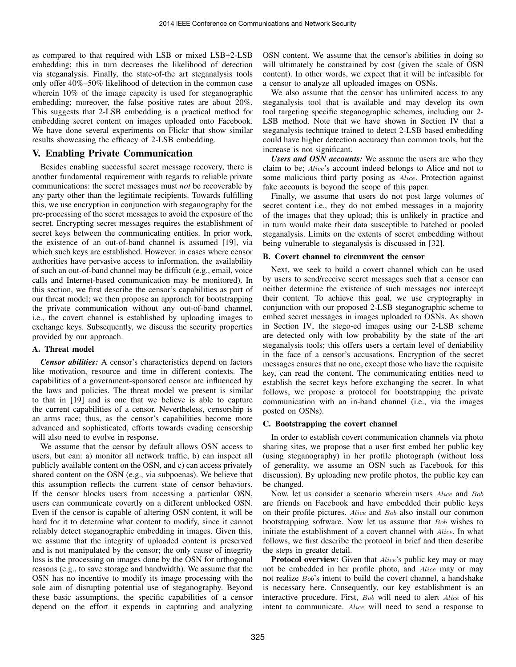as compared to that required with LSB or mixed LSB+2-LSB embedding; this in turn decreases the likelihood of detection via steganalysis. Finally, the state-of-the art steganalysis tools only offer 40%–50% likelihood of detection in the common case wherein 10% of the image capacity is used for steganographic embedding; moreover, the false positive rates are about 20%. This suggests that 2-LSB embedding is a practical method for embedding secret content on images uploaded onto Facebook. We have done several experiments on Flickr that show similar results showcasing the efficacy of 2-LSB embedding.

# V. Enabling Private Communication

Besides enabling successful secret message recovery, there is another fundamental requirement with regards to reliable private communications: the secret messages must *not* be recoverable by any party other than the legitimate recipients. Towards fulfilling this, we use encryption in conjunction with steganography for the pre-processing of the secret messages to avoid the exposure of the secret. Encrypting secret messages requires the establishment of secret keys between the communicating entities. In prior work, the existence of an out-of-band channel is assumed [19], via which such keys are established. However, in cases where censor authorities have pervasive access to information, the availability of such an out-of-band channel may be difficult (e.g., email, voice calls and Internet-based communication may be monitored). In this section, we first describe the censor's capabilities as part of our threat model; we then propose an approach for bootstrapping the private communication without any out-of-band channel, i.e., the covert channel is established by uploading images to exchange keys. Subsequently, we discuss the security properties provided by our approach.

# A. Threat model

*Censor abilities:* A censor's characteristics depend on factors like motivation, resource and time in different contexts. The capabilities of a government-sponsored censor are influenced by the laws and policies. The threat model we present is similar to that in [19] and is one that we believe is able to capture the current capabilities of a censor. Nevertheless, censorship is an arms race; thus, as the censor's capabilities become more advanced and sophisticated, efforts towards evading censorship will also need to evolve in response.

We assume that the censor by default allows OSN access to users, but can: a) monitor all network traffic, b) can inspect all publicly available content on the OSN, and c) can access privately shared content on the OSN (e.g., via subpoenas). We believe that this assumption reflects the current state of censor behaviors. If the censor blocks users from accessing a particular OSN, users can communicate covertly on a different unblocked OSN. Even if the censor is capable of altering OSN content, it will be hard for it to determine what content to modify, since it cannot reliably detect steganographic embedding in images. Given this, we assume that the integrity of uploaded content is preserved and is not manipulated by the censor; the only cause of integrity loss is the processing on images done by the OSN for orthogonal reasons (e.g., to save storage and bandwidth). We assume that the OSN has no incentive to modify its image processing with the sole aim of disrupting potential use of steganography. Beyond these basic assumptions, the specific capabilities of a censor depend on the effort it expends in capturing and analyzing OSN content. We assume that the censor's abilities in doing so will ultimately be constrained by cost (given the scale of OSN content). In other words, we expect that it will be infeasible for a censor to analyze all uploaded images on OSNs.

We also assume that the censor has unlimited access to any steganalysis tool that is available and may develop its own tool targeting specific steganographic schemes, including our 2- LSB method. Note that we have shown in Section IV that a steganalysis technique trained to detect 2-LSB based embedding could have higher detection accuracy than common tools, but the increase is not significant.

*Users and OSN accounts:* We assume the users are who they claim to be; Alice's account indeed belongs to Alice and not to some malicious third party posing as Alice. Protection against fake accounts is beyond the scope of this paper.

Finally, we assume that users do not post large volumes of secret content i.e., they do not embed messages in a majority of the images that they upload; this is unlikely in practice and in turn would make their data susceptible to batched or pooled steganalysis. Limits on the extents of secret embedding without being vulnerable to steganalysis is discussed in [32].

# B. Covert channel to circumvent the censor

Next, we seek to build a covert channel which can be used by users to send/receive secret messages such that a censor can neither determine the existence of such messages nor intercept their content. To achieve this goal, we use cryptography in conjunction with our proposed 2-LSB steganographic scheme to embed secret messages in images uploaded to OSNs. As shown in Section IV, the stego-ed images using our 2-LSB scheme are detected only with low probability by the state of the art steganalysis tools; this offers users a certain level of deniability in the face of a censor's accusations. Encryption of the secret messages ensures that no one, except those who have the requisite key, can read the content. The communicating entities need to establish the secret keys before exchanging the secret. In what follows, we propose a protocol for bootstrapping the private communication with an in-band channel (i.e., via the images posted on OSNs).

# C. Bootstrapping the covert channel

In order to establish covert communication channels via photo sharing sites, we propose that a user first embed her public key (using steganography) in her profile photograph (without loss of generality, we assume an OSN such as Facebook for this discussion). By uploading new profile photos, the public key can be changed.

Now, let us consider a scenario wherein users Alice and Bob are friends on Facebook and have embedded their public keys on their profile pictures. Alice and Bob also install our common bootstrapping software. Now let us assume that Bob wishes to initiate the establishment of a covert channel with Alice. In what follows, we first describe the protocol in brief and then describe the steps in greater detail.

**Protocol overview:** Given that *Alice's* public key may or may not be embedded in her profile photo, and Alice may or may not realize Bob's intent to build the covert channel, a handshake is necessary here. Consequently, our key establishment is an interactive procedure. First, Bob will need to alert Alice of his intent to communicate. Alice will need to send a response to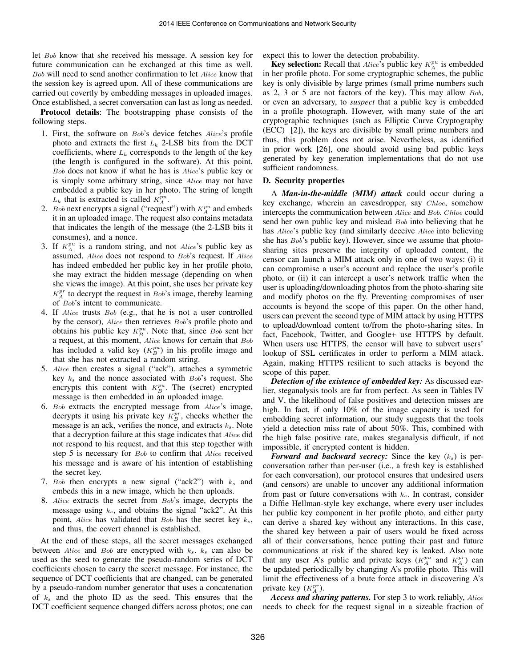let Bob know that she received his message. A session key for future communication can be exchanged at this time as well. Bob will need to send another confirmation to let Alice know that the session key is agreed upon. All of these communications are carried out covertly by embedding messages in uploaded images. Once established, a secret conversation can last as long as needed.

Protocol details: The bootstrapping phase consists of the following steps.

- 1. First, the software on Bob's device fetches Alice's profile photo and extracts the first  $L_k$  2-LSB bits from the DCT coefficients, where  $L_k$  corresponds to the length of the key (the length is configured in the software). At this point, Bob does not know if what he has is Alice's public key or is simply some arbitrary string, since Alice may not have embedded a public key in her photo. The string of length  $L_k$  that is extracted is called  $K_A^{pu}$ .
- 2. *Bob* next encrypts a signal ("request") with  $K_A^{pu}$  and embeds it in an uploaded image. The request also contains metadata that indicates the length of the message (the 2-LSB bits it consumes), and a nonce.
- 3. If  $K_A^{pu}$  is a random string, and not Alice's public key as assumed, Alice does not respond to Bob's request. If Alice has indeed embedded her public key in her profile photo, she may extract the hidden message (depending on when she views the image). At this point, she uses her private key  $K_A^{pr}$  to decrypt the request in  $Bob$ 's image, thereby learning of Bob's intent to communicate.
- 4. If *Alice* trusts *Bob* (e.g., that he is not a user controlled by the censor), Alice then retrieves Bob's profile photo and obtains his public key  $K_B^{pu}$ . Note that, since Bob sent her a request, at this moment, Alice knows for certain that Bob has included a valid key  $(K_B^{pu})$  in his profile image and that she has not extracted a random string.
- 5. Alice then creates a signal ("ack"), attaches a symmetric key  $k_s$  and the nonce associated with  $Bob's$  request. She encrypts this content with  $K_B^{pu}$ . The (secret) encrypted message is then embedded in an uploaded image.
- 6. Bob extracts the encrypted message from Alice's image, decrypts it using his private key  $K_B^{pr}$ , checks whether the message is an ack, verifies the nonce, and extracts  $k_s$ . Note that a decryption failure at this stage indicates that Alice did not respond to his request, and that this step together with step 5 is necessary for Bob to confirm that Alice received his message and is aware of his intention of establishing the secret key.
- 7. Bob then encrypts a new signal (" $ack2"$ ") with  $k_s$  and embeds this in a new image, which he then uploads.
- 8. Alice extracts the secret from Bob's image, decrypts the message using  $k_s$ , and obtains the signal "ack2". At this point, Alice has validated that Bob has the secret key  $k_s$ , and thus, the covert channel is established.

At the end of these steps, all the secret messages exchanged between Alice and Bob are encrypted with  $k_s$ .  $k_s$  can also be used as the seed to generate the pseudo-random series of DCT coefficients chosen to carry the secret message. For instance, the sequence of DCT coefficients that are changed, can be generated by a pseudo-random number generator that uses a concatenation of  $k_s$  and the photo ID as the seed. This ensures that the DCT coefficient sequence changed differs across photos; one can expect this to lower the detection probability.

**Key selection:** Recall that *Alice's* public key  $K_A^{pu}$  is embedded in her profile photo. For some cryptographic schemes, the public key is only divisible by large primes (small prime numbers such as 2, 3 or 5 are not factors of the key). This may allow Bob, or even an adversary, to *suspect* that a public key is embedded in a profile photograph. However, with many state of the art cryptographic techniques (such as Elliptic Curve Cryptography (ECC) [2]), the keys are divisible by small prime numbers and thus, this problem does not arise. Nevertheless, as identified in prior work [26], one should avoid using bad public keys generated by key generation implementations that do not use sufficient randomness.

### D. Security properties

A *Man-in-the-middle (MIM) attack* could occur during a key exchange, wherein an eavesdropper, say Chloe, somehow intercepts the communication between Alice and Bob. Chloe could send her own public key and mislead Bob into believing that he has *Alice's* public key (and similarly deceive *Alice* into believing she has Bob's public key). However, since we assume that photosharing sites preserve the integrity of uploaded content, the censor can launch a MIM attack only in one of two ways: (i) it can compromise a user's account and replace the user's profile photo, or (ii) it can intercept a user's network traffic when the user is uploading/downloading photos from the photo-sharing site and modify photos on the fly. Preventing compromises of user accounts is beyond the scope of this paper. On the other hand, users can prevent the second type of MIM attack by using HTTPS to upload/download content to/from the photo-sharing sites. In fact, Facebook, Twitter, and Google+ use HTTPS by default. When users use HTTPS, the censor will have to subvert users' lookup of SSL certificates in order to perform a MIM attack. Again, making HTTPS resilient to such attacks is beyond the scope of this paper.

*Detection of the existence of embedded key:* As discussed earlier, steganalysis tools are far from perfect. As seen in Tables IV and V, the likelihood of false positives and detection misses are high. In fact, if only 10% of the image capacity is used for embedding secret information, our study suggests that the tools yield a detection miss rate of about 50%. This, combined with the high false positive rate, makes steganalysis difficult, if not impossible, if encrypted content is hidden.

*Forward and backward secrecy:* Since the key  $(k<sub>s</sub>)$  is perconversation rather than per-user (i.e., a fresh key is established for each conversation), our protocol ensures that undesired users (and censors) are unable to uncover any additional information from past or future conversations with  $k_s$ . In contrast, consider a Diffie Hellman-style key exchange, where every user includes her public key component in her profile photo, and either party can derive a shared key without any interactions. In this case, the shared key between a pair of users would be fixed across all of their conversations, hence putting their past and future communications at risk if the shared key is leaked. Also note that any user A's public and private keys  $(K_A^{pu}$  and  $K_A^{pr})$  can be updated periodically by changing A's profile photo. This will limit the effectiveness of a brute force attack in discovering A's private key  $(K_A^{pr})$ .

*Access and sharing patterns.* For step 3 to work reliably, Alice needs to check for the request signal in a sizeable fraction of